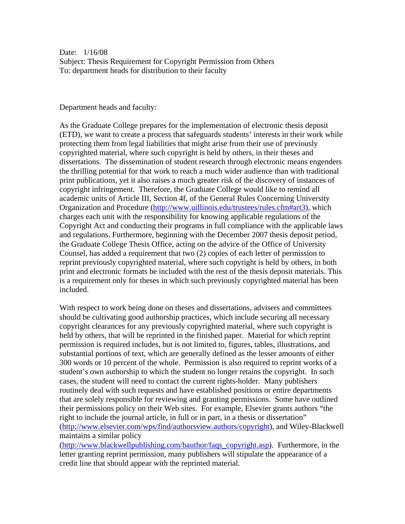Date: 1/16/08 Subject: Thesis Requirement for Copyright Permission from Others To: department heads for distribution to their faculty

## Department heads and faculty:

As the Graduate College prepares for the implementation of electronic thesis deposit (ETD), we want to create a process that safeguards students' interests in their work while protecting them from legal liabilities that might arise from their use of previously copyrighted material, where such copyright is held by others, in their theses and dissertations. The dissemination of student research through electronic means engenders the thrilling potential for that work to reach a much wider audience than with traditional print publications, yet it also raises a much greater risk of the discovery of instances of copyright infringement. Therefore, the Graduate College would like to remind all academic units of Article III, Section 4f, of the General Rules Concerning University Organization and Procedure ([http://www.uillinois.edu/trustees/rules.cfm#art3\)](http://www.uillinois.edu/trustees/rules.cfm#art3), which charges each unit with the responsibility for knowing applicable regulations of the Copyright Act and conducting their programs in full compliance with the applicable laws and regulations. Furthermore, beginning with the December 2007 thesis deposit period, the Graduate College Thesis Office, acting on the advice of the Office of University Counsel, has added a requirement that two (2) copies of each letter of permission to reprint previously copyrighted material, where such copyright is held by others, in both print and electronic formats be included with the rest of the thesis deposit materials. This is a requirement only for theses in which such previously copyrighted material has been included.

With respect to work being done on theses and dissertations, advisers and committees should be cultivating good authorship practices, which include securing all necessary copyright clearances for any previously copyrighted material, where such copyright is held by others, that will be reprinted in the finished paper. Material for which reprint permission is required includes, but is not limited to, figures, tables, illustrations, and substantial portions of text, which are generally defined as the lesser amounts of either 300 words or 10 percent of the whole. Permission is also required to reprint works of a student's own authorship to which the student no longer retains the copyright. In such cases, the student will need to contact the current rights-holder. Many publishers routinely deal with such requests and have established positions or entire departments that are solely responsible for reviewing and granting permissions. Some have outlined their permissions policy on their Web sites. For example, Elsevier grants authors "the right to include the journal article, in full or in part, in a thesis or dissertation" ([http://www.elsevier.com/wps/find/authorsview.authors/copyright\)](http://www.elsevier.com/wps/find/authorsview.authors/copyright), and Wiley-Blackwell maintains a similar policy

([http://www.blackwellpublishing.com/bauthor/faqs\\_copyright.asp\)](http://www.blackwellpublishing.com/bauthor/faqs_copyright.asp). Furthermore, in the letter granting reprint permission, many publishers will stipulate the appearance of a credit line that should appear with the reprinted material.